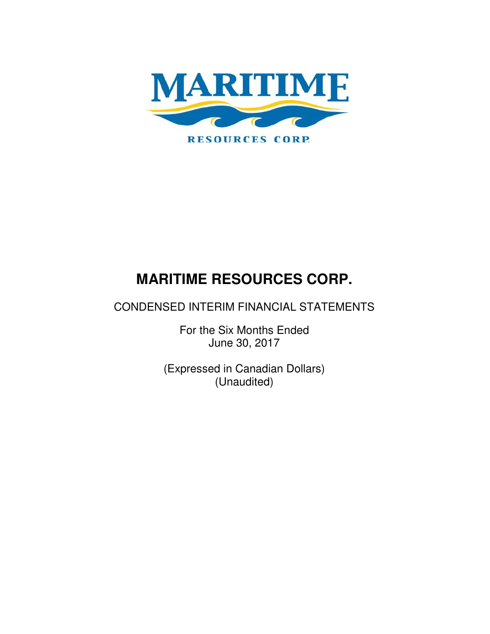

# CONDENSED INTERIM FINANCIAL STATEMENTS

For the Six Months Ended June 30, 2017

(Expressed in Canadian Dollars) (Unaudited)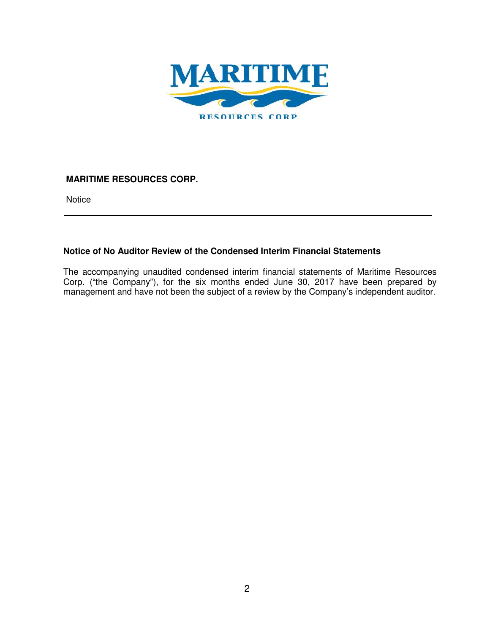

**Notice** 

## **Notice of No Auditor Review of the Condensed Interim Financial Statements**

The accompanying unaudited condensed interim financial statements of Maritime Resources Corp. ("the Company"), for the six months ended June 30, 2017 have been prepared by management and have not been the subject of a review by the Company's independent auditor.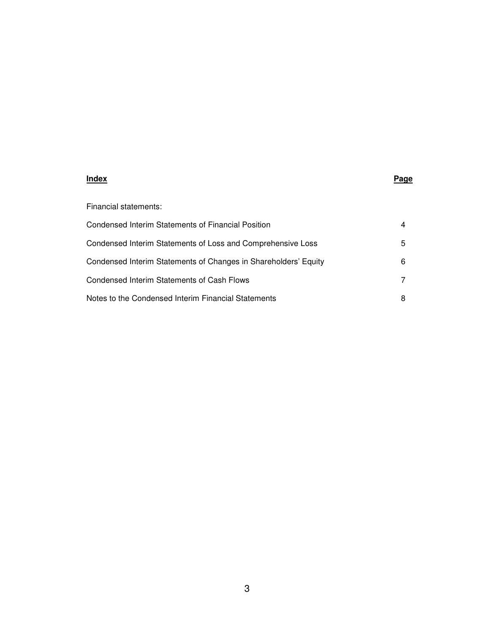#### **Index Page**

| Financial statements:                                           |   |
|-----------------------------------------------------------------|---|
| Condensed Interim Statements of Financial Position              | 4 |
| Condensed Interim Statements of Loss and Comprehensive Loss     | 5 |
| Condensed Interim Statements of Changes in Shareholders' Equity | 6 |
| Condensed Interim Statements of Cash Flows                      | 7 |
| Notes to the Condensed Interim Financial Statements             | 8 |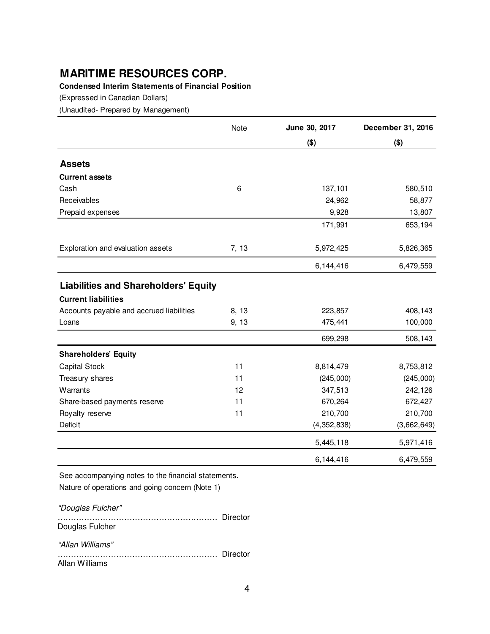## **Condensed Interim Statements of Financial Position**

(Expressed in Canadian Dollars)

(Unaudited- Prepared by Management)

|                                             | Note  | June 30, 2017 | December 31, 2016 |
|---------------------------------------------|-------|---------------|-------------------|
|                                             |       | $($ \$)       | $($ \$)           |
| <b>Assets</b>                               |       |               |                   |
| <b>Current assets</b>                       |       |               |                   |
| Cash                                        | 6     | 137,101       | 580,510           |
| Receivables                                 |       | 24,962        | 58,877            |
| Prepaid expenses                            |       | 9,928         | 13,807            |
|                                             |       | 171,991       | 653,194           |
| Exploration and evaluation assets           | 7, 13 | 5,972,425     | 5,826,365         |
|                                             |       | 6,144,416     | 6,479,559         |
| <b>Liabilities and Shareholders' Equity</b> |       |               |                   |
| <b>Current liabilities</b>                  |       |               |                   |
| Accounts payable and accrued liabilities    | 8, 13 | 223,857       | 408,143           |
| Loans                                       | 9, 13 | 475,441       | 100,000           |
|                                             |       | 699,298       | 508,143           |
| <b>Shareholders' Equity</b>                 |       |               |                   |
| <b>Capital Stock</b>                        | 11    | 8,814,479     | 8,753,812         |
| Treasury shares                             | 11    | (245,000)     | (245,000)         |
| Warrants                                    | 12    | 347,513       | 242,126           |
| Share-based payments reserve                | 11    | 670,264       | 672,427           |
| Royalty reserve                             | 11    | 210,700       | 210,700           |
| Deficit                                     |       | (4, 352, 838) | (3,662,649)       |
|                                             |       | 5,445,118     | 5,971,416         |
|                                             |       | 6,144,416     | 6,479,559         |

See accompanying notes to the financial statements. Nature of operations and going concern (Note 1)

"Douglas Fulcher" …………………………………………………… Director Douglas Fulcher "Allan Williams" …………………………………………………… Director Allan Williams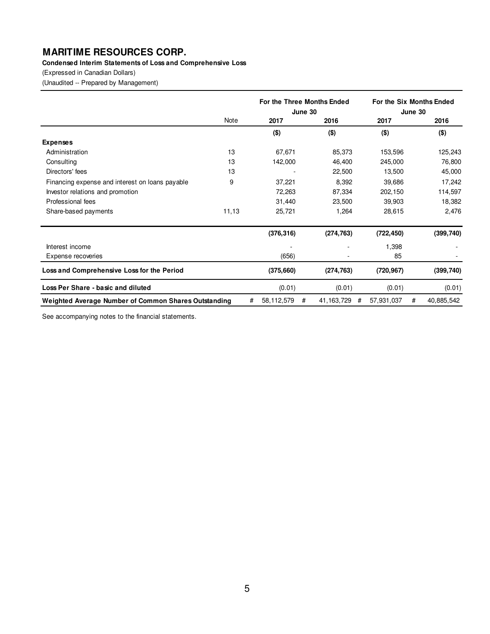#### **Condensed Interim Statements of Loss and Comprehensive Loss**

(Expressed in Canadian Dollars)

(Unaudited -- Prepared by Management)

|                                                      |       |   | For the Three Months Ended<br>June 30 |   | For the Six Months Ended<br>June 30 |   |            |   |            |
|------------------------------------------------------|-------|---|---------------------------------------|---|-------------------------------------|---|------------|---|------------|
|                                                      | Note  |   | 2017                                  |   | 2016                                |   | 2017       |   | 2016       |
|                                                      |       |   | $($ \$)                               |   | $($ \$)                             |   | $($ \$)    |   | $($ \$)    |
| <b>Expenses</b>                                      |       |   |                                       |   |                                     |   |            |   |            |
| Administration                                       | 13    |   | 67,671                                |   | 85,373                              |   | 153,596    |   | 125,243    |
| Consulting                                           | 13    |   | 142,000                               |   | 46,400                              |   | 245,000    |   | 76,800     |
| Directors' fees                                      | 13    |   |                                       |   | 22,500                              |   | 13,500     |   | 45,000     |
| Financing expense and interest on loans payable      | 9     |   | 37,221                                |   | 8,392                               |   | 39,686     |   | 17,242     |
| Investor relations and promotion                     |       |   | 72,263                                |   | 87,334                              |   | 202,150    |   | 114,597    |
| Professional fees                                    |       |   | 31,440                                |   | 23,500                              |   | 39,903     |   | 18,382     |
| Share-based payments                                 | 11,13 |   | 25,721                                |   | 1,264                               |   | 28,615     |   | 2,476      |
|                                                      |       |   | (376, 316)                            |   | (274, 763)                          |   | (722, 450) |   | (399, 740) |
| Interest income                                      |       |   |                                       |   |                                     |   | 1,398      |   |            |
| Expense recoveries                                   |       |   | (656)                                 |   |                                     |   | 85         |   |            |
| Loss and Comprehensive Loss for the Period           |       |   | (375, 660)                            |   | (274, 763)                          |   | (720, 967) |   | (399, 740) |
| Loss Per Share - basic and diluted                   |       |   | (0.01)                                |   | (0.01)                              |   | (0.01)     |   | (0.01)     |
| Weighted Average Number of Common Shares Outstanding |       | # | 58,112,579                            | # | 41, 163, 729                        | # | 57,931,037 | # | 40,885,542 |

See accompanying notes to the financial statements.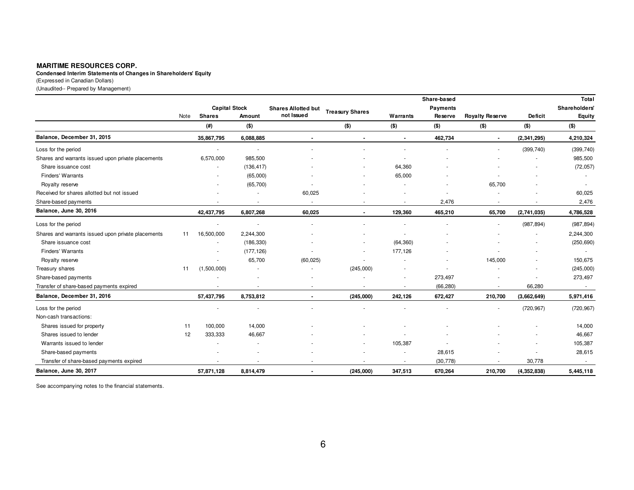**Condensed Interim Statements of Changes in Shareholders' Equity**

(Expressed in Canadian Dollars)

(Unaudited-- Prepared by Management)

|                                                    |      |                      |                          |                            |                          |                | Share-based     |                          |                | Total                |
|----------------------------------------------------|------|----------------------|--------------------------|----------------------------|--------------------------|----------------|-----------------|--------------------------|----------------|----------------------|
|                                                    |      | <b>Capital Stock</b> |                          | <b>Shares Allotted but</b> | <b>Treasury Shares</b>   |                | <b>Payments</b> |                          |                | <b>Shareholders'</b> |
|                                                    | Note | <b>Shares</b>        | Amount                   | not Issued                 |                          | Warrants       | Reserve         | <b>Royalty Reserve</b>   | <b>Deficit</b> | Equity               |
|                                                    |      | (# )                 | $($ \$)                  |                            | (3)                      | $($ \$)        | $($ \$)         | $($ \$)                  | $($ \$)        | $($ \$)              |
| Balance, December 31, 2015                         |      | 35,867,795           | 6,088,885                | $\blacksquare$             | $\blacksquare$           | $\blacksquare$ | 462,734         | $\blacksquare$           | (2,341,295)    | 4,210,324            |
| Loss for the period                                |      |                      | $\sim$                   |                            |                          |                |                 |                          | (399, 740)     | (399, 740)           |
| Shares and warrants issued upon private placements |      | 6,570,000            | 985,500                  |                            |                          |                |                 |                          |                | 985,500              |
| Share issuance cost                                |      |                      | (136, 417)               |                            |                          | 64,360         |                 |                          |                | (72, 057)            |
| Finders' Warrants                                  |      |                      | (65,000)                 |                            |                          | 65,000         |                 |                          |                |                      |
| Royalty reserve                                    |      |                      | (65, 700)                |                            |                          |                |                 | 65,700                   |                |                      |
| Received for shares allotted but not issued        |      |                      | ٠                        | 60,025                     |                          |                |                 |                          |                | 60,025               |
| Share-based payments                               |      |                      | $\overline{\phantom{a}}$ |                            | $\sim$                   |                | 2,476           | $\sim$                   |                | 2,476                |
| Balance, June 30, 2016                             |      | 42,437,795           | 6,807,268                | 60.025                     | $\blacksquare$           | 129,360        | 465,210         | 65,700                   | (2,741,035)    | 4,786,528            |
| Loss for the period                                |      |                      | $\mathbf{r}$             |                            |                          |                |                 |                          | (987, 894)     | (987, 894)           |
| Shares and warrants issued upon private placements | 11   | 16,500,000           | 2,244,300                |                            |                          |                |                 |                          |                | 2,244,300            |
| Share issuance cost                                |      |                      | (186, 330)               |                            |                          | (64, 360)      |                 |                          |                | (250, 690)           |
| Finders' Warrants                                  |      |                      | (177, 126)               |                            |                          | 177,126        |                 |                          |                |                      |
| Royalty reserve                                    |      |                      | 65,700                   | (60, 025)                  | ٠                        |                |                 | 145,000                  |                | 150,675              |
| Treasury shares                                    | 11   | (1,500,000)          |                          |                            | (245,000)                |                | ٠               |                          |                | (245,000)            |
| Share-based payments                               |      |                      |                          |                            |                          |                | 273,497         |                          |                | 273,497              |
| Transfer of share-based payments expired           |      |                      | $\overline{\phantom{a}}$ |                            | ٠                        | $\sim$         | (66, 280)       | $\sim$                   | 66,280         | $\sim$               |
| Balance, December 31, 2016                         |      | 57,437,795           | 8,753,812                | $\blacksquare$             | (245,000)                | 242,126        | 672,427         | 210,700                  | (3,662,649)    | 5,971,416            |
| Loss for the period                                |      |                      |                          |                            |                          |                |                 |                          | (720, 967)     | (720, 967)           |
| Non-cash transactions:                             |      |                      |                          |                            |                          |                |                 |                          |                |                      |
| Shares issued for property                         | 11   | 100,000              | 14,000                   |                            |                          |                |                 |                          |                | 14,000               |
| Shares issued to lender                            | 12   | 333,333              | 46,667                   |                            |                          |                |                 |                          |                | 46,667               |
| Warrants issued to lender                          |      |                      |                          |                            |                          | 105,387        | $\blacksquare$  |                          |                | 105,387              |
| Share-based payments                               |      |                      |                          |                            |                          |                | 28,615          |                          |                | 28,615               |
| Transfer of share-based payments expired           |      |                      | $\overline{\phantom{a}}$ |                            | $\overline{\phantom{a}}$ | $\sim$         | (30, 778)       | $\overline{\phantom{a}}$ | 30,778         | $\sim$               |
| Balance, June 30, 2017                             |      | 57,871,128           | 8,814,479                |                            | (245,000)                | 347,513        | 670,264         | 210,700                  | (4, 352, 838)  | 5,445,118            |

See accompanying notes to the financial statements.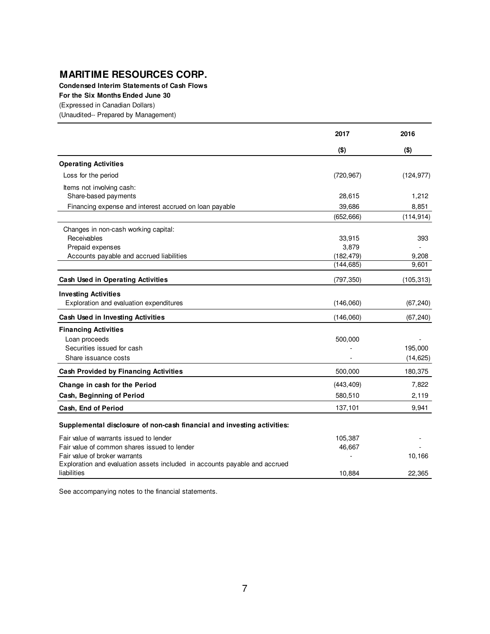**Condensed Interim Statements of Cash Flows**

**For the Six Months Ended June 30**

(Expressed in Canadian Dollars)

(Unaudited-- Prepared by Management)

|                                                                            | 2017       | 2016       |
|----------------------------------------------------------------------------|------------|------------|
|                                                                            | $($ \$)    | $($ \$)    |
| <b>Operating Activities</b>                                                |            |            |
| Loss for the period                                                        | (720, 967) | (124, 977) |
| Items not involving cash:                                                  |            |            |
| Share-based payments                                                       | 28,615     | 1,212      |
| Financing expense and interest accrued on loan payable                     | 39,686     | 8,851      |
|                                                                            | (652, 666) | (114, 914) |
| Changes in non-cash working capital:                                       |            |            |
| Receivables                                                                | 33,915     | 393        |
| Prepaid expenses                                                           | 3,879      |            |
| Accounts payable and accrued liabilities                                   | (182, 479) | 9,208      |
|                                                                            | (144, 685) | 9,601      |
| <b>Cash Used in Operating Activities</b>                                   | (797, 350) | (105, 313) |
| <b>Investing Activities</b>                                                |            |            |
| Exploration and evaluation expenditures                                    | (146,060)  | (67, 240)  |
| Cash Used in Investing Activities                                          | (146,060)  | (67, 240)  |
| <b>Financing Activities</b>                                                |            |            |
| Loan proceeds                                                              | 500,000    |            |
| Securities issued for cash                                                 |            | 195,000    |
| Share issuance costs                                                       |            | (14, 625)  |
| <b>Cash Provided by Financing Activities</b>                               | 500,000    | 180,375    |
| Change in cash for the Period                                              | (443, 409) | 7.822      |
| Cash, Beginning of Period                                                  | 580,510    | 2,119      |
| Cash, End of Period                                                        | 137,101    | 9,941      |
| Supplemental disclosure of non-cash financial and investing activities:    |            |            |
| Fair value of warrants issued to lender                                    | 105,387    |            |
| Fair value of common shares issued to lender                               | 46,667     |            |
| Fair value of broker warrants                                              |            | 10,166     |
| Exploration and evaluation assets included in accounts payable and accrued |            |            |
| liabilities                                                                | 10,884     | 22,365     |

See accompanying notes to the financial statements.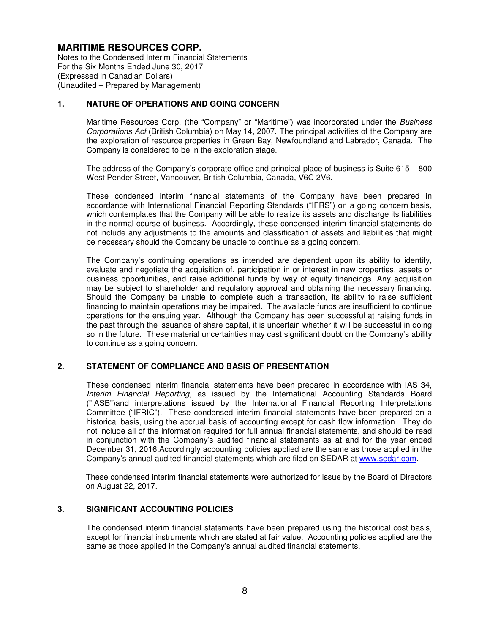Notes to the Condensed Interim Financial Statements For the Six Months Ended June 30, 2017 (Expressed in Canadian Dollars) (Unaudited – Prepared by Management)

#### **1. NATURE OF OPERATIONS AND GOING CONCERN**

Maritime Resources Corp. (the "Company" or "Maritime") was incorporated under the Business Corporations Act (British Columbia) on May 14, 2007. The principal activities of the Company are the exploration of resource properties in Green Bay, Newfoundland and Labrador, Canada. The Company is considered to be in the exploration stage.

The address of the Company's corporate office and principal place of business is Suite 615 – 800 West Pender Street, Vancouver, British Columbia, Canada, V6C 2V6.

These condensed interim financial statements of the Company have been prepared in accordance with International Financial Reporting Standards ("IFRS") on a going concern basis, which contemplates that the Company will be able to realize its assets and discharge its liabilities in the normal course of business. Accordingly, these condensed interim financial statements do not include any adjustments to the amounts and classification of assets and liabilities that might be necessary should the Company be unable to continue as a going concern.

The Company's continuing operations as intended are dependent upon its ability to identify, evaluate and negotiate the acquisition of, participation in or interest in new properties, assets or business opportunities, and raise additional funds by way of equity financings. Any acquisition may be subject to shareholder and regulatory approval and obtaining the necessary financing. Should the Company be unable to complete such a transaction, its ability to raise sufficient financing to maintain operations may be impaired. The available funds are insufficient to continue operations for the ensuing year. Although the Company has been successful at raising funds in the past through the issuance of share capital, it is uncertain whether it will be successful in doing so in the future. These material uncertainties may cast significant doubt on the Company's ability to continue as a going concern.

#### **2. STATEMENT OF COMPLIANCE AND BASIS OF PRESENTATION**

These condensed interim financial statements have been prepared in accordance with IAS 34, Interim Financial Reporting, as issued by the International Accounting Standards Board ("IASB")and interpretations issued by the International Financial Reporting Interpretations Committee ("IFRIC"). These condensed interim financial statements have been prepared on a historical basis, using the accrual basis of accounting except for cash flow information. They do not include all of the information required for full annual financial statements, and should be read in conjunction with the Company's audited financial statements as at and for the year ended December 31, 2016.Accordingly accounting policies applied are the same as those applied in the Company's annual audited financial statements which are filed on SEDAR at www.sedar.com.

These condensed interim financial statements were authorized for issue by the Board of Directors on August 22, 2017.

#### **3. SIGNIFICANT ACCOUNTING POLICIES**

The condensed interim financial statements have been prepared using the historical cost basis, except for financial instruments which are stated at fair value. Accounting policies applied are the same as those applied in the Company's annual audited financial statements.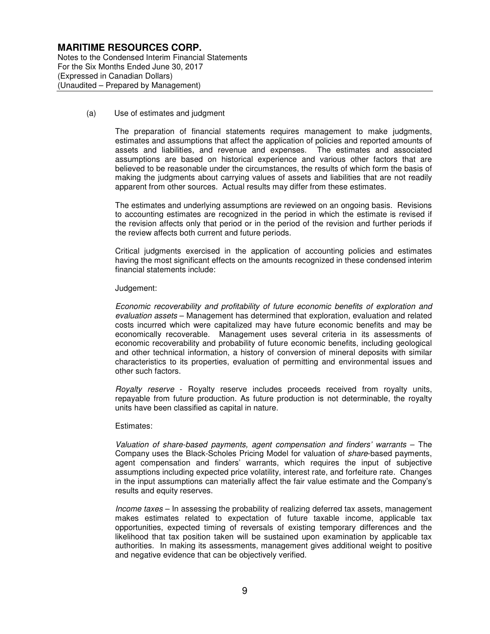Notes to the Condensed Interim Financial Statements For the Six Months Ended June 30, 2017 (Expressed in Canadian Dollars) (Unaudited – Prepared by Management)

#### (a) Use of estimates and judgment

The preparation of financial statements requires management to make judgments, estimates and assumptions that affect the application of policies and reported amounts of assets and liabilities, and revenue and expenses. The estimates and associated assumptions are based on historical experience and various other factors that are believed to be reasonable under the circumstances, the results of which form the basis of making the judgments about carrying values of assets and liabilities that are not readily apparent from other sources. Actual results may differ from these estimates.

The estimates and underlying assumptions are reviewed on an ongoing basis. Revisions to accounting estimates are recognized in the period in which the estimate is revised if the revision affects only that period or in the period of the revision and further periods if the review affects both current and future periods.

Critical judgments exercised in the application of accounting policies and estimates having the most significant effects on the amounts recognized in these condensed interim financial statements include:

#### Judgement:

Economic recoverability and profitability of future economic benefits of exploration and evaluation assets – Management has determined that exploration, evaluation and related costs incurred which were capitalized may have future economic benefits and may be economically recoverable. Management uses several criteria in its assessments of economic recoverability and probability of future economic benefits, including geological and other technical information, a history of conversion of mineral deposits with similar characteristics to its properties, evaluation of permitting and environmental issues and other such factors.

Royalty reserve - Royalty reserve includes proceeds received from royalty units, repayable from future production. As future production is not determinable, the royalty units have been classified as capital in nature.

#### Estimates:

Valuation of share-based payments, agent compensation and finders' warrants – The Company uses the Black-Scholes Pricing Model for valuation of share-based payments, agent compensation and finders' warrants, which requires the input of subjective assumptions including expected price volatility, interest rate, and forfeiture rate. Changes in the input assumptions can materially affect the fair value estimate and the Company's results and equity reserves.

Income taxes – In assessing the probability of realizing deferred tax assets, management makes estimates related to expectation of future taxable income, applicable tax opportunities, expected timing of reversals of existing temporary differences and the likelihood that tax position taken will be sustained upon examination by applicable tax authorities. In making its assessments, management gives additional weight to positive and negative evidence that can be objectively verified.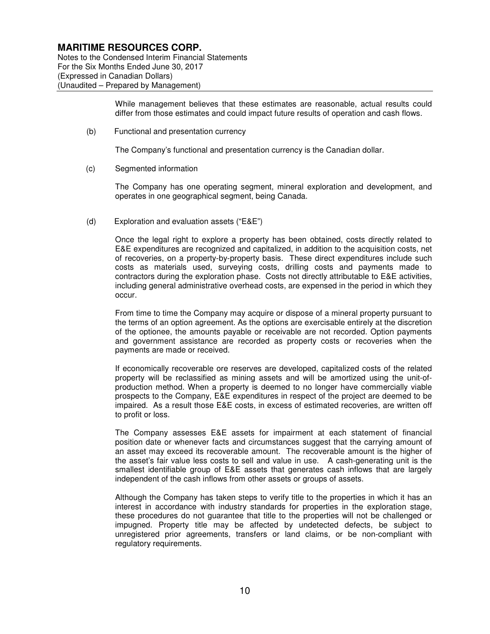Notes to the Condensed Interim Financial Statements For the Six Months Ended June 30, 2017 (Expressed in Canadian Dollars) (Unaudited – Prepared by Management)

> While management believes that these estimates are reasonable, actual results could differ from those estimates and could impact future results of operation and cash flows.

(b) Functional and presentation currency

The Company's functional and presentation currency is the Canadian dollar.

(c) Segmented information

The Company has one operating segment, mineral exploration and development, and operates in one geographical segment, being Canada.

(d) Exploration and evaluation assets ("E&E")

Once the legal right to explore a property has been obtained, costs directly related to E&E expenditures are recognized and capitalized, in addition to the acquisition costs, net of recoveries, on a property-by-property basis. These direct expenditures include such costs as materials used, surveying costs, drilling costs and payments made to contractors during the exploration phase. Costs not directly attributable to E&E activities, including general administrative overhead costs, are expensed in the period in which they occur.

From time to time the Company may acquire or dispose of a mineral property pursuant to the terms of an option agreement. As the options are exercisable entirely at the discretion of the optionee, the amounts payable or receivable are not recorded. Option payments and government assistance are recorded as property costs or recoveries when the payments are made or received.

If economically recoverable ore reserves are developed, capitalized costs of the related property will be reclassified as mining assets and will be amortized using the unit-ofproduction method. When a property is deemed to no longer have commercially viable prospects to the Company, E&E expenditures in respect of the project are deemed to be impaired. As a result those E&E costs, in excess of estimated recoveries, are written off to profit or loss.

The Company assesses E&E assets for impairment at each statement of financial position date or whenever facts and circumstances suggest that the carrying amount of an asset may exceed its recoverable amount. The recoverable amount is the higher of the asset's fair value less costs to sell and value in use. A cash-generating unit is the smallest identifiable group of E&E assets that generates cash inflows that are largely independent of the cash inflows from other assets or groups of assets.

Although the Company has taken steps to verify title to the properties in which it has an interest in accordance with industry standards for properties in the exploration stage, these procedures do not guarantee that title to the properties will not be challenged or impugned. Property title may be affected by undetected defects, be subject to unregistered prior agreements, transfers or land claims, or be non-compliant with regulatory requirements.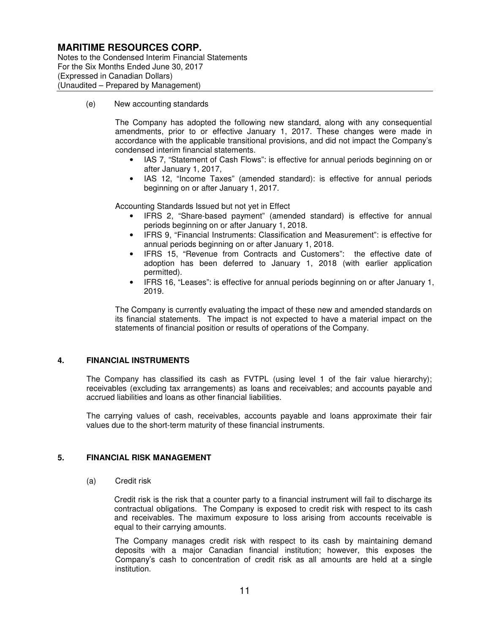Notes to the Condensed Interim Financial Statements For the Six Months Ended June 30, 2017 (Expressed in Canadian Dollars) (Unaudited – Prepared by Management)

(e) New accounting standards

The Company has adopted the following new standard, along with any consequential amendments, prior to or effective January 1, 2017. These changes were made in accordance with the applicable transitional provisions, and did not impact the Company's condensed interim financial statements.

- IAS 7, "Statement of Cash Flows": is effective for annual periods beginning on or after January 1, 2017,
- IAS 12, "Income Taxes" (amended standard): is effective for annual periods beginning on or after January 1, 2017.

Accounting Standards Issued but not yet in Effect

- IFRS 2, "Share-based payment" (amended standard) is effective for annual periods beginning on or after January 1, 2018.
- IFRS 9, "Financial Instruments: Classification and Measurement": is effective for annual periods beginning on or after January 1, 2018.
- IFRS 15, "Revenue from Contracts and Customers": the effective date of adoption has been deferred to January 1, 2018 (with earlier application permitted).
- IFRS 16, "Leases": is effective for annual periods beginning on or after January 1, 2019.

The Company is currently evaluating the impact of these new and amended standards on its financial statements. The impact is not expected to have a material impact on the statements of financial position or results of operations of the Company.

#### **4. FINANCIAL INSTRUMENTS**

The Company has classified its cash as FVTPL (using level 1 of the fair value hierarchy); receivables (excluding tax arrangements) as loans and receivables; and accounts payable and accrued liabilities and loans as other financial liabilities.

The carrying values of cash, receivables, accounts payable and loans approximate their fair values due to the short-term maturity of these financial instruments.

#### **5. FINANCIAL RISK MANAGEMENT**

(a) Credit risk

Credit risk is the risk that a counter party to a financial instrument will fail to discharge its contractual obligations. The Company is exposed to credit risk with respect to its cash and receivables. The maximum exposure to loss arising from accounts receivable is equal to their carrying amounts.

The Company manages credit risk with respect to its cash by maintaining demand deposits with a major Canadian financial institution; however, this exposes the Company's cash to concentration of credit risk as all amounts are held at a single institution.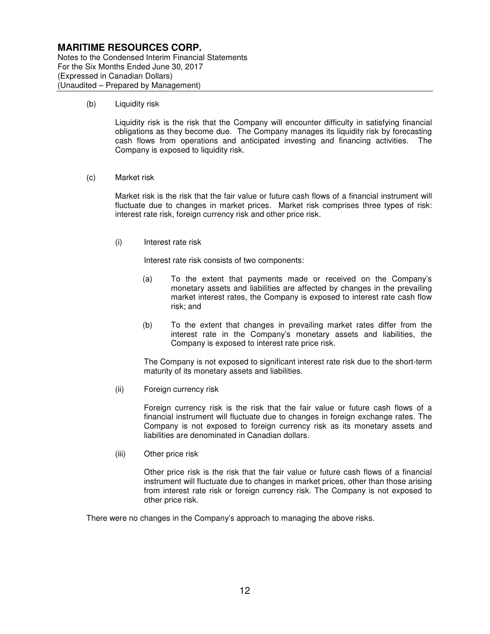Notes to the Condensed Interim Financial Statements For the Six Months Ended June 30, 2017 (Expressed in Canadian Dollars) (Unaudited – Prepared by Management)

(b) Liquidity risk

Liquidity risk is the risk that the Company will encounter difficulty in satisfying financial obligations as they become due. The Company manages its liquidity risk by forecasting cash flows from operations and anticipated investing and financing activities. The Company is exposed to liquidity risk.

(c) Market risk

Market risk is the risk that the fair value or future cash flows of a financial instrument will fluctuate due to changes in market prices. Market risk comprises three types of risk: interest rate risk, foreign currency risk and other price risk.

(i) Interest rate risk

Interest rate risk consists of two components:

- (a) To the extent that payments made or received on the Company's monetary assets and liabilities are affected by changes in the prevailing market interest rates, the Company is exposed to interest rate cash flow risk; and
- (b) To the extent that changes in prevailing market rates differ from the interest rate in the Company's monetary assets and liabilities, the Company is exposed to interest rate price risk.

The Company is not exposed to significant interest rate risk due to the short-term maturity of its monetary assets and liabilities.

(ii) Foreign currency risk

Foreign currency risk is the risk that the fair value or future cash flows of a financial instrument will fluctuate due to changes in foreign exchange rates. The Company is not exposed to foreign currency risk as its monetary assets and liabilities are denominated in Canadian dollars.

(iii) Other price risk

Other price risk is the risk that the fair value or future cash flows of a financial instrument will fluctuate due to changes in market prices, other than those arising from interest rate risk or foreign currency risk. The Company is not exposed to other price risk.

There were no changes in the Company's approach to managing the above risks.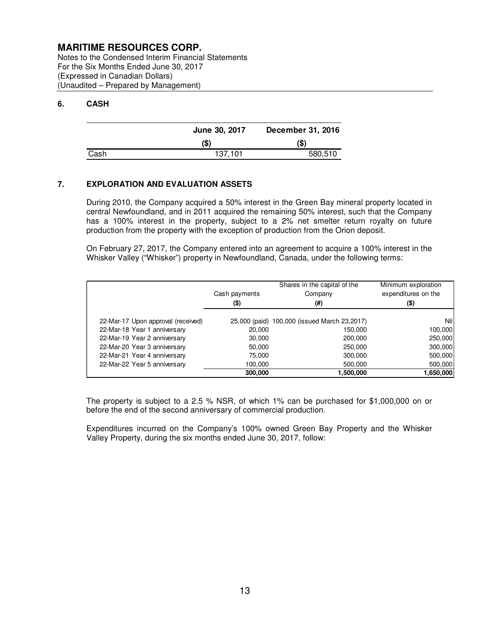Notes to the Condensed Interim Financial Statements For the Six Months Ended June 30, 2017 (Expressed in Canadian Dollars) (Unaudited – Prepared by Management)

#### **6. CASH**

|      | June 30, 2017 | December 31, 2016 |
|------|---------------|-------------------|
|      | (S)           | (S)               |
| Cash | 137.101       | 580,510           |

#### **7. EXPLORATION AND EVALUATION ASSETS**

During 2010, the Company acquired a 50% interest in the Green Bay mineral property located in central Newfoundland, and in 2011 acquired the remaining 50% interest, such that the Company has a 100% interest in the property, subject to a 2% net smelter return royalty on future production from the property with the exception of production from the Orion deposit.

On February 27, 2017, the Company entered into an agreement to acquire a 100% interest in the Whisker Valley ("Whisker") property in Newfoundland, Canada, under the following terms:

|                                    | Cash payments<br>(\$) | Shares in the capital of the<br>Company<br>(#) | Minimum exploration<br>expenditures on the<br>(\$) |
|------------------------------------|-----------------------|------------------------------------------------|----------------------------------------------------|
| 22-Mar-17 Upon approval (received) |                       | 25,000 (paid) 100,000 (issued March 23,2017)   | Nill                                               |
| 22-Mar-18 Year 1 anniversary       | 20,000                | 150.000                                        | 100,000                                            |
| 22-Mar-19 Year 2 anniversary       | 30,000                | 200,000                                        | 250,000                                            |
| 22-Mar-20 Year 3 anniversary       | 50.000                | 250,000                                        | 300,000                                            |
| 22-Mar-21 Year 4 anniversary       | 75,000                | 300,000                                        | 500,000                                            |
| 22-Mar-22 Year 5 anniversary       | 100.000               | 500,000                                        | 500,000                                            |
|                                    | 300,000               | 1,500,000                                      | 1,650,000                                          |

The property is subject to a 2.5 % NSR, of which 1% can be purchased for \$1,000,000 on or before the end of the second anniversary of commercial production.

Expenditures incurred on the Company's 100% owned Green Bay Property and the Whisker Valley Property, during the six months ended June 30, 2017, follow: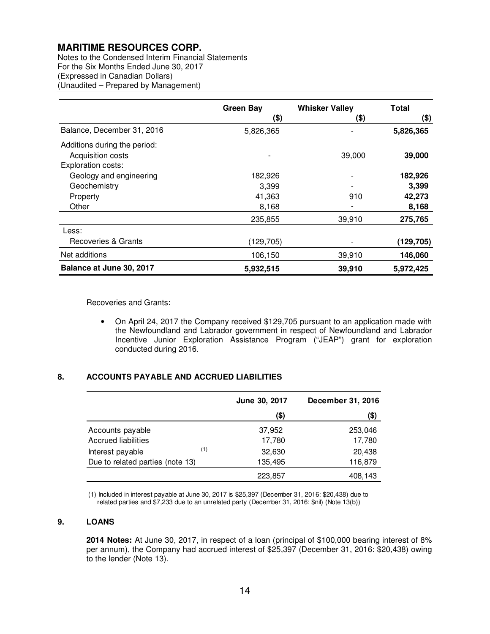Notes to the Condensed Interim Financial Statements For the Six Months Ended June 30, 2017 (Expressed in Canadian Dollars) (Unaudited – Prepared by Management)

|                              | <b>Green Bay</b> | <b>Whisker Valley</b> | Total      |
|------------------------------|------------------|-----------------------|------------|
|                              | (\$)             | (\$)                  | $($ \$)    |
| Balance, December 31, 2016   | 5,826,365        |                       | 5,826,365  |
| Additions during the period: |                  |                       |            |
| Acquisition costs            |                  | 39,000                | 39,000     |
| Exploration costs:           |                  |                       |            |
| Geology and engineering      | 182,926          |                       | 182,926    |
| Geochemistry                 | 3,399            |                       | 3,399      |
| Property                     | 41,363           | 910                   | 42,273     |
| Other                        | 8,168            |                       | 8,168      |
|                              | 235,855          | 39,910                | 275,765    |
| Less:                        |                  |                       |            |
| Recoveries & Grants          | (129, 705)       |                       | (129, 705) |
| Net additions                | 106,150          | 39,910                | 146,060    |
| Balance at June 30, 2017     | 5,932,515        | 39,910                | 5,972,425  |

Recoveries and Grants:

• On April 24, 2017 the Company received \$129,705 pursuant to an application made with the Newfoundland and Labrador government in respect of Newfoundland and Labrador Incentive Junior Exploration Assistance Program ("JEAP") grant for exploration conducted during 2016.

### **8. ACCOUNTS PAYABLE AND ACCRUED LIABILITIES**

|                                  | June 30, 2017 | <b>December 31, 2016</b> |
|----------------------------------|---------------|--------------------------|
|                                  | (\$)          | (\$)                     |
| Accounts payable                 | 37,952        | 253,046                  |
| <b>Accrued liabilities</b>       | 17,780        | 17,780                   |
| (1)<br>Interest payable          | 32,630        | 20,438                   |
| Due to related parties (note 13) | 135,495       | 116,879                  |
|                                  | 223,857       | 408,143                  |

(1) Included in interest payable at June 30, 2017 is \$25,397 (December 31, 2016: \$20,438) due to related parties and \$7,233 due to an unrelated party (December 31, 2016: \$nil) (Note 13(b))

### **9. LOANS**

**2014 Notes:** At June 30, 2017, in respect of a loan (principal of \$100,000 bearing interest of 8% per annum), the Company had accrued interest of \$25,397 (December 31, 2016: \$20,438) owing to the lender (Note 13).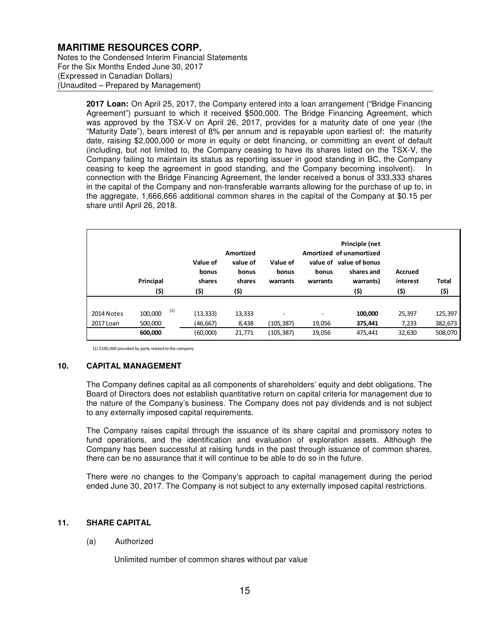Notes to the Condensed Interim Financial Statements For the Six Months Ended June 30, 2017 (Expressed in Canadian Dollars) (Unaudited – Prepared by Management)

> **2017 Loan:** On April 25, 2017, the Company entered into a loan arrangement ("Bridge Financing Agreement") pursuant to which it received \$500,000. The Bridge Financing Agreement, which was approved by the TSX-V on April 26, 2017, provides for a maturity date of one year (the "Maturity Date"), bears interest of 8% per annum and is repayable upon earliest of: the maturity date, raising \$2,000,000 or more in equity or debt financing, or committing an event of default (including, but not limited to, the Company ceasing to have its shares listed on the TSX-V, the Company failing to maintain its status as reporting issuer in good standing in BC, the Company ceasing to keep the agreement in good standing, and the Company becoming insolvent). In connection with the Bridge Financing Agreement, the lender received a bonus of 333,333 shares in the capital of the Company and non-transferable warrants allowing for the purchase of up to, in the aggregate, 1,666,666 additional common shares in the capital of the Company at \$0.15 per share until April 26, 2018.

|            | Principal<br>(\$) | Value of<br>bonus<br>shares<br>(\$) | Amortized<br>value of<br>bonus<br>shares<br>(\$) | Value of<br>bonus<br>warrants | value of<br>bonus<br>warrants | Principle (net<br>Amortized of unamortized<br>value of bonus<br>shares and<br>warrants)<br>(\$) | <b>Accrued</b><br>interest<br>(5) | <b>Total</b><br>(5) |
|------------|-------------------|-------------------------------------|--------------------------------------------------|-------------------------------|-------------------------------|-------------------------------------------------------------------------------------------------|-----------------------------------|---------------------|
| 2014 Notes | (1)<br>100,000    | (13,333)                            | 13,333                                           | ۰                             | ۰                             | 100,000                                                                                         | 25,397                            | 125,397             |
|            |                   |                                     |                                                  |                               |                               |                                                                                                 |                                   |                     |
| 2017 Loan  | 500,000           | (46,667)                            | 8,438                                            | (105,387)                     | 19,056                        | 375,441                                                                                         | 7,233                             | 382,673             |
|            | 600,000           | (60,000)                            | 21,771                                           | (105,387)                     | 19,056                        | 475,441                                                                                         | 32,630                            | 508,070             |

(1) \$100,000 provided by party related to the company

#### **10. CAPITAL MANAGEMENT**

The Company defines capital as all components of shareholders' equity and debt obligations. The Board of Directors does not establish quantitative return on capital criteria for management due to the nature of the Company's business. The Company does not pay dividends and is not subject to any externally imposed capital requirements.

The Company raises capital through the issuance of its share capital and promissory notes to fund operations, and the identification and evaluation of exploration assets. Although the Company has been successful at raising funds in the past through issuance of common shares, there can be no assurance that it will continue to be able to do so in the future.

There were no changes to the Company's approach to capital management during the period ended June 30, 2017. The Company is not subject to any externally imposed capital restrictions.

#### **11. SHARE CAPITAL**

#### (a) Authorized

Unlimited number of common shares without par value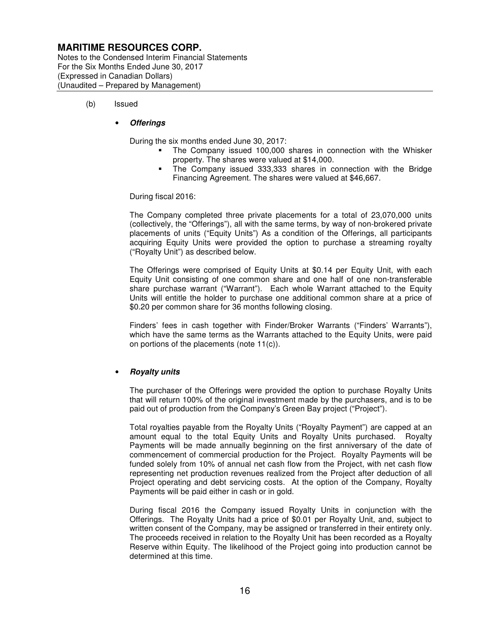Notes to the Condensed Interim Financial Statements For the Six Months Ended June 30, 2017 (Expressed in Canadian Dollars) (Unaudited – Prepared by Management)

(b) Issued

#### • **Offerings**

During the six months ended June 30, 2017:

- The Company issued 100,000 shares in connection with the Whisker property. The shares were valued at \$14,000.
- The Company issued 333,333 shares in connection with the Bridge Financing Agreement. The shares were valued at \$46,667.

During fiscal 2016:

The Company completed three private placements for a total of 23,070,000 units (collectively, the "Offerings"), all with the same terms, by way of non-brokered private placements of units ("Equity Units") As a condition of the Offerings, all participants acquiring Equity Units were provided the option to purchase a streaming royalty ("Royalty Unit") as described below.

The Offerings were comprised of Equity Units at \$0.14 per Equity Unit, with each Equity Unit consisting of one common share and one half of one non-transferable share purchase warrant ("Warrant"). Each whole Warrant attached to the Equity Units will entitle the holder to purchase one additional common share at a price of \$0.20 per common share for 36 months following closing.

Finders' fees in cash together with Finder/Broker Warrants ("Finders' Warrants"), which have the same terms as the Warrants attached to the Equity Units, were paid on portions of the placements (note 11(c)).

#### • **Royalty units**

The purchaser of the Offerings were provided the option to purchase Royalty Units that will return 100% of the original investment made by the purchasers, and is to be paid out of production from the Company's Green Bay project ("Project").

Total royalties payable from the Royalty Units ("Royalty Payment") are capped at an amount equal to the total Equity Units and Royalty Units purchased. Royalty Payments will be made annually beginning on the first anniversary of the date of commencement of commercial production for the Project. Royalty Payments will be funded solely from 10% of annual net cash flow from the Project, with net cash flow representing net production revenues realized from the Project after deduction of all Project operating and debt servicing costs. At the option of the Company, Royalty Payments will be paid either in cash or in gold.

During fiscal 2016 the Company issued Royalty Units in conjunction with the Offerings. The Royalty Units had a price of \$0.01 per Royalty Unit, and, subject to written consent of the Company, may be assigned or transferred in their entirety only. The proceeds received in relation to the Royalty Unit has been recorded as a Royalty Reserve within Equity. The likelihood of the Project going into production cannot be determined at this time.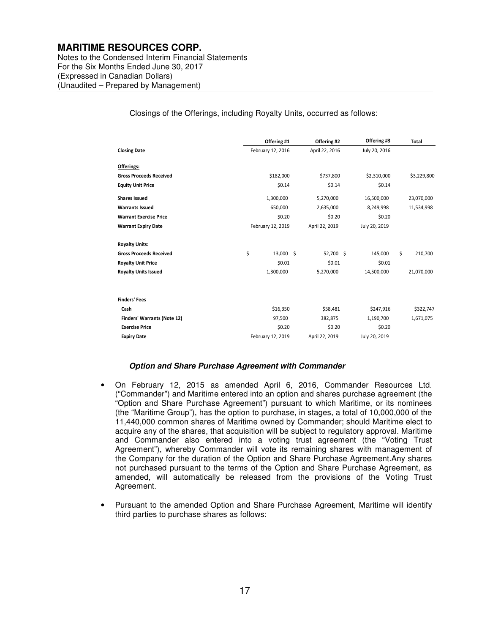Notes to the Condensed Interim Financial Statements For the Six Months Ended June 30, 2017 (Expressed in Canadian Dollars) (Unaudited – Prepared by Management)

Closings of the Offerings, including Royalty Units, occurred as follows:

|                                    | Offering #1       | Offering #2    | Offering #3   | <b>Total</b>  |
|------------------------------------|-------------------|----------------|---------------|---------------|
| <b>Closing Date</b>                | February 12, 2016 | April 22, 2016 | July 20, 2016 |               |
| Offerings:                         |                   |                |               |               |
| <b>Gross Proceeds Received</b>     | \$182,000         | \$737,800      | \$2,310,000   | \$3,229,800   |
| <b>Equity Unit Price</b>           | \$0.14            | \$0.14         | \$0.14        |               |
| <b>Shares Issued</b>               | 1,300,000         | 5,270,000      | 16,500,000    | 23,070,000    |
| <b>Warrants Issued</b>             | 650,000           | 2,635,000      | 8,249,998     | 11,534,998    |
| <b>Warrant Exercise Price</b>      | \$0.20            | \$0.20         | \$0.20        |               |
| <b>Warrant Expiry Date</b>         | February 12, 2019 | April 22, 2019 | July 20, 2019 |               |
| <b>Royalty Units:</b>              |                   |                |               |               |
| <b>Gross Proceeds Received</b>     | \$<br>13,000 \$   | 52,700 \$      | 145,000       | \$<br>210,700 |
| <b>Royalty Unit Price</b>          | \$0.01            | \$0.01         | \$0.01        |               |
| <b>Royalty Units Issued</b>        | 1,300,000         | 5,270,000      | 14,500,000    | 21,070,000    |
|                                    |                   |                |               |               |
| <b>Finders' Fees</b>               |                   |                |               |               |
| Cash                               | \$16,350          | \$58,481       | \$247,916     | \$322,747     |
| <b>Finders' Warrants (Note 12)</b> | 97,500            | 382,875        | 1,190,700     | 1,671,075     |
| <b>Exercise Price</b>              | \$0.20            | \$0.20         | \$0.20        |               |
| <b>Expiry Date</b>                 | February 12, 2019 | April 22, 2019 | July 20, 2019 |               |

#### **Option and Share Purchase Agreement with Commander**

- On February 12, 2015 as amended April 6, 2016, Commander Resources Ltd. ("Commander") and Maritime entered into an option and shares purchase agreement (the "Option and Share Purchase Agreement") pursuant to which Maritime, or its nominees (the "Maritime Group"), has the option to purchase, in stages, a total of 10,000,000 of the 11,440,000 common shares of Maritime owned by Commander; should Maritime elect to acquire any of the shares, that acquisition will be subject to regulatory approval. Maritime and Commander also entered into a voting trust agreement (the "Voting Trust Agreement"), whereby Commander will vote its remaining shares with management of the Company for the duration of the Option and Share Purchase Agreement.Any shares not purchased pursuant to the terms of the Option and Share Purchase Agreement, as amended, will automatically be released from the provisions of the Voting Trust Agreement.
- Pursuant to the amended Option and Share Purchase Agreement, Maritime will identify third parties to purchase shares as follows: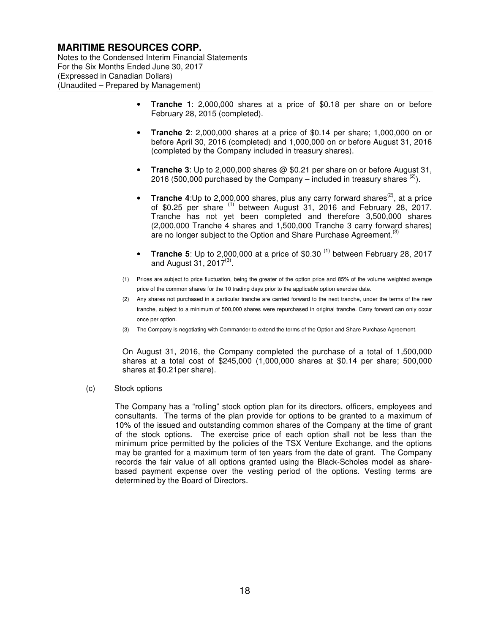Notes to the Condensed Interim Financial Statements For the Six Months Ended June 30, 2017 (Expressed in Canadian Dollars) (Unaudited – Prepared by Management)

- **Tranche 1**: 2,000,000 shares at a price of \$0.18 per share on or before February 28, 2015 (completed).
- **Tranche 2**: 2,000,000 shares at a price of \$0.14 per share; 1,000,000 on or before April 30, 2016 (completed) and 1,000,000 on or before August 31, 2016 (completed by the Company included in treasury shares).
- **Tranche 3**: Up to 2,000,000 shares @ \$0.21 per share on or before August 31, 2016 (500,000 purchased by the Company – included in treasury shares  $(2)$ ).
- **Tranche 4:**Up to 2,000,000 shares, plus any carry forward shares<sup>(2)</sup>, at a price of \$0.25 per share  $(1)$  between August 31, 2016 and February 28, 2017. Tranche has not yet been completed and therefore 3,500,000 shares (2,000,000 Tranche 4 shares and 1,500,000 Tranche 3 carry forward shares) are no longer subject to the Option and Share Purchase Agreement.<sup>(3</sup>)
- **Tranche 5:** Up to 2,000,000 at a price of \$0.30<sup>(1)</sup> between February 28, 2017 and August 31, 2017 $^{(3)}$ .
- (1) Prices are subject to price fluctuation, being the greater of the option price and 85% of the volume weighted average price of the common shares for the 10 trading days prior to the applicable option exercise date.
- (2) Any shares not purchased in a particular tranche are carried forward to the next tranche, under the terms of the new tranche, subject to a minimum of 500,000 shares were repurchased in original tranche. Carry forward can only occur once per option.
- (3) The Company is negotiating with Commander to extend the terms of the Option and Share Purchase Agreement.

On August 31, 2016, the Company completed the purchase of a total of 1,500,000 shares at a total cost of \$245,000 (1,000,000 shares at \$0.14 per share; 500,000 shares at \$0.21per share).

(c) Stock options

The Company has a "rolling" stock option plan for its directors, officers, employees and consultants. The terms of the plan provide for options to be granted to a maximum of 10% of the issued and outstanding common shares of the Company at the time of grant of the stock options. The exercise price of each option shall not be less than the minimum price permitted by the policies of the TSX Venture Exchange, and the options may be granted for a maximum term of ten years from the date of grant. The Company records the fair value of all options granted using the Black-Scholes model as sharebased payment expense over the vesting period of the options. Vesting terms are determined by the Board of Directors.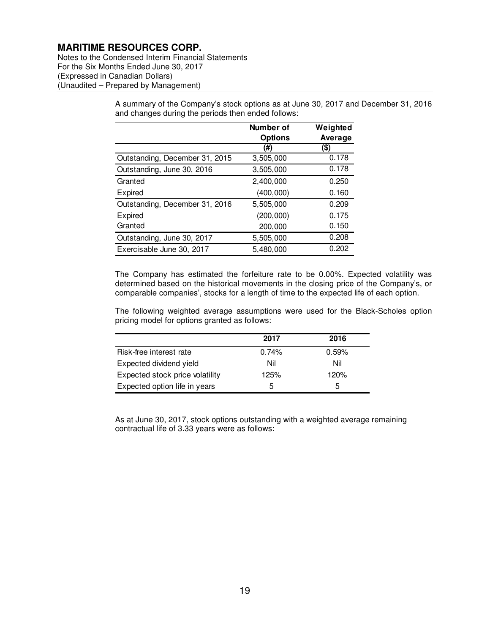Notes to the Condensed Interim Financial Statements For the Six Months Ended June 30, 2017 (Expressed in Canadian Dollars) (Unaudited – Prepared by Management)

> A summary of the Company's stock options as at June 30, 2017 and December 31, 2016 and changes during the periods then ended follows:

|                                | Number of      | Weighted |
|--------------------------------|----------------|----------|
|                                | <b>Options</b> | Average  |
|                                | (#)            | (\$)     |
| Outstanding, December 31, 2015 | 3,505,000      | 0.178    |
| Outstanding, June 30, 2016     | 3,505,000      | 0.178    |
| Granted                        | 2,400,000      | 0.250    |
| Expired                        | (400, 000)     | 0.160    |
| Outstanding, December 31, 2016 | 5.505.000      | 0.209    |
| Expired                        | (200,000)      | 0.175    |
| Granted                        | 200,000        | 0.150    |
| Outstanding, June 30, 2017     | 5,505,000      | 0.208    |
| Exercisable June 30, 2017      | 5,480,000      | 0.202    |

The Company has estimated the forfeiture rate to be 0.00%. Expected volatility was determined based on the historical movements in the closing price of the Company's, or comparable companies', stocks for a length of time to the expected life of each option.

The following weighted average assumptions were used for the Black-Scholes option pricing model for options granted as follows:

|                                 | 2017  | 2016  |
|---------------------------------|-------|-------|
| Risk-free interest rate         | 0.74% | 0.59% |
| Expected dividend yield         | Nil   | Nil   |
| Expected stock price volatility | 125%  | 120%  |
| Expected option life in years   | 5     | 5     |

As at June 30, 2017, stock options outstanding with a weighted average remaining contractual life of 3.33 years were as follows: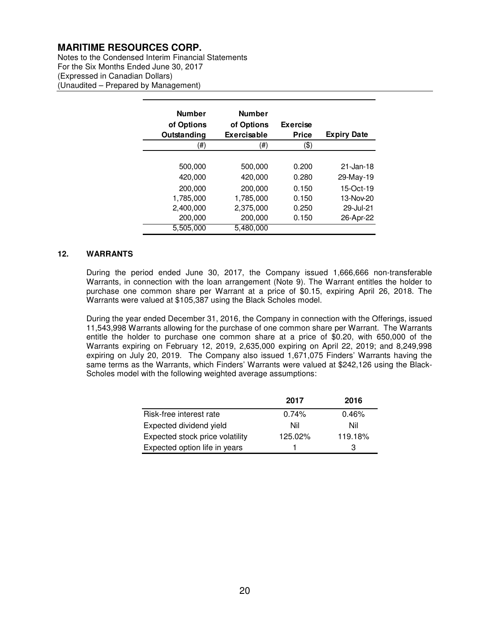Notes to the Condensed Interim Financial Statements For the Six Months Ended June 30, 2017 (Expressed in Canadian Dollars) (Unaudited – Prepared by Management)

| <b>Number</b> | <b>Number</b> |                 |                    |
|---------------|---------------|-----------------|--------------------|
| of Options    | of Options    | <b>Exercise</b> |                    |
| Outstanding   | Exercisable   | Price           | <b>Expiry Date</b> |
| (#)           | (#)           | (\$)            |                    |
|               |               |                 |                    |
| 500,000       | 500,000       | 0.200           | $21 - Jan - 18$    |
| 420,000       | 420,000       | 0.280           | 29-May-19          |
| 200,000       | 200,000       | 0.150           | 15-Oct-19          |
| 1,785,000     | 1,785,000     | 0.150           | 13-Nov-20          |
| 2,400,000     | 2,375,000     | 0.250           | 29-Jul-21          |
| 200,000       | 200,000       | 0.150           | 26-Apr-22          |
| 5,505,000     | 5,480,000     |                 |                    |

#### **12. WARRANTS**

During the period ended June 30, 2017, the Company issued 1,666,666 non-transferable Warrants, in connection with the loan arrangement (Note 9). The Warrant entitles the holder to purchase one common share per Warrant at a price of \$0.15, expiring April 26, 2018. The Warrants were valued at \$105,387 using the Black Scholes model.

During the year ended December 31, 2016, the Company in connection with the Offerings, issued 11,543,998 Warrants allowing for the purchase of one common share per Warrant. The Warrants entitle the holder to purchase one common share at a price of \$0.20, with 650,000 of the Warrants expiring on February 12, 2019, 2,635,000 expiring on April 22, 2019; and 8,249,998 expiring on July 20, 2019. The Company also issued 1,671,075 Finders' Warrants having the same terms as the Warrants, which Finders' Warrants were valued at \$242,126 using the Black-Scholes model with the following weighted average assumptions:

|                                 | 2017    | 2016    |
|---------------------------------|---------|---------|
| Risk-free interest rate         | 0.74%   | 0.46%   |
| Expected dividend yield         | Nil     | Nil     |
| Expected stock price volatility | 125.02% | 119.18% |
| Expected option life in years   |         | З       |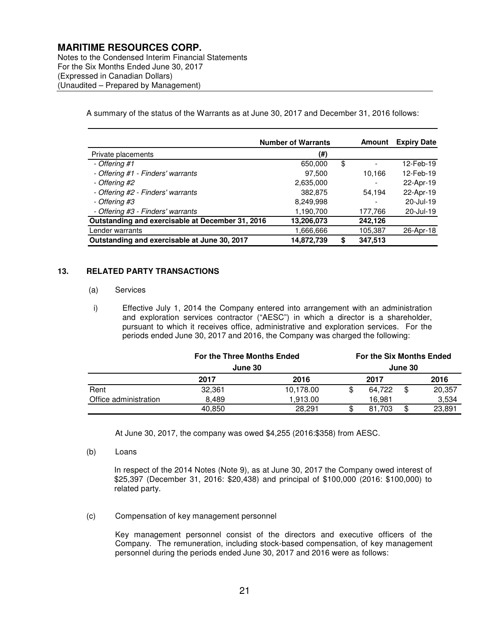Notes to the Condensed Interim Financial Statements For the Six Months Ended June 30, 2017 (Expressed in Canadian Dollars) (Unaudited – Prepared by Management)

A summary of the status of the Warrants as at June 30, 2017 and December 31, 2016 follows:

|                                                  | <b>Number of Warrants</b> | Amount        | <b>Expiry Date</b> |
|--------------------------------------------------|---------------------------|---------------|--------------------|
| Private placements                               | (#)                       |               |                    |
| - Offering #1                                    | 650,000                   | \$            | 12-Feb-19          |
| - Offering #1 - Finders' warrants                | 97,500                    | 10,166        | 12-Feb-19          |
| - Offering #2                                    | 2,635,000                 |               | 22-Apr-19          |
| - Offering #2 - Finders' warrants                | 382,875                   | 54.194        | 22-Apr-19          |
| - Offering #3                                    | 8,249,998                 |               | $20 -$ Jul-19      |
| - Offering #3 - Finders' warrants                | 1,190,700                 | 177,766       | 20-Jul-19          |
| Outstanding and exercisable at December 31, 2016 | 13,206,073                | 242,126       |                    |
| Lender warrants                                  | 1,666,666                 | 105,387       | 26-Apr-18          |
| Outstanding and exercisable at June 30, 2017     | 14,872,739                | \$<br>347,513 |                    |

#### **13. RELATED PARTY TRANSACTIONS**

#### (a) Services

i) Effective July 1, 2014 the Company entered into arrangement with an administration and exploration services contractor ("AESC") in which a director is a shareholder, pursuant to which it receives office, administrative and exploration services. For the periods ended June 30, 2017 and 2016, the Company was charged the following:

|                       | <b>For the Three Months Ended</b><br>June 30 |           | <b>For the Six Months Ended</b><br>June 30 |        |    |        |
|-----------------------|----------------------------------------------|-----------|--------------------------------------------|--------|----|--------|
|                       |                                              |           |                                            |        |    |        |
|                       | 2017                                         | 2016      |                                            | 2017   |    | 2016   |
| Rent                  | 32.361                                       | 10.178.00 |                                            | 64.722 | \$ | 20.357 |
| Office administration | 8.489                                        | 1.913.00  |                                            | 16.981 |    | 3,534  |
|                       | 40,850                                       | 28.291    |                                            | 81.703 | \$ | 23.891 |

At June 30, 2017, the company was owed \$4,255 (2016:\$358) from AESC.

(b) Loans

In respect of the 2014 Notes (Note 9), as at June 30, 2017 the Company owed interest of \$25,397 (December 31, 2016: \$20,438) and principal of \$100,000 (2016: \$100,000) to related party.

(c) Compensation of key management personnel

Key management personnel consist of the directors and executive officers of the Company. The remuneration, including stock-based compensation, of key management personnel during the periods ended June 30, 2017 and 2016 were as follows: